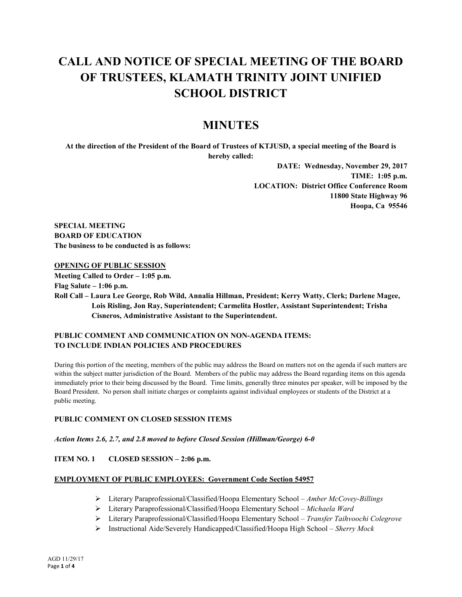# **CALL AND NOTICE OF SPECIAL MEETING OF THE BOARD OF TRUSTEES, KLAMATH TRINITY JOINT UNIFIED SCHOOL DISTRICT**

# **MINUTES**

**At the direction of the President of the Board of Trustees of KTJUSD, a special meeting of the Board is hereby called:**

> **DATE: Wednesday, November 29, 2017 TIME: 1:05 p.m. LOCATION: District Office Conference Room 11800 State Highway 96 Hoopa, Ca 95546**

**SPECIAL MEETING BOARD OF EDUCATION The business to be conducted is as follows:**

#### **OPENING OF PUBLIC SESSION**

**Meeting Called to Order – 1:05 p.m. Flag Salute – 1:06 p.m. Roll Call – Laura Lee George, Rob Wild, Annalia Hillman, President; Kerry Watty, Clerk; Darlene Magee, Lois Risling, Jon Ray, Superintendent; Carmelita Hostler, Assistant Superintendent; Trisha Cisneros, Administrative Assistant to the Superintendent.** 

#### **PUBLIC COMMENT AND COMMUNICATION ON NON-AGENDA ITEMS: TO INCLUDE INDIAN POLICIES AND PROCEDURES**

During this portion of the meeting, members of the public may address the Board on matters not on the agenda if such matters are within the subject matter jurisdiction of the Board. Members of the public may address the Board regarding items on this agenda immediately prior to their being discussed by the Board. Time limits, generally three minutes per speaker, will be imposed by the Board President. No person shall initiate charges or complaints against individual employees or students of the District at a public meeting.

#### **PUBLIC COMMENT ON CLOSED SESSION ITEMS**

#### *Action Items 2.6, 2.7, and 2.8 moved to before Closed Session (Hillman/George) 6-0*

#### **ITEM NO. 1 CLOSED SESSION – 2:06 p.m.**

#### **EMPLOYMENT OF PUBLIC EMPLOYEES: Government Code Section 54957**

- Literary Paraprofessional/Classified/Hoopa Elementary School *Amber McCovey-Billings*
- Literary Paraprofessional/Classified/Hoopa Elementary School *Michaela Ward*
- Literary Paraprofessional/Classified/Hoopa Elementary School *Transfer Taihvoochi Colegrove*
- Instructional Aide/Severely Handicapped/Classified/Hoopa High School *Sherry Mock*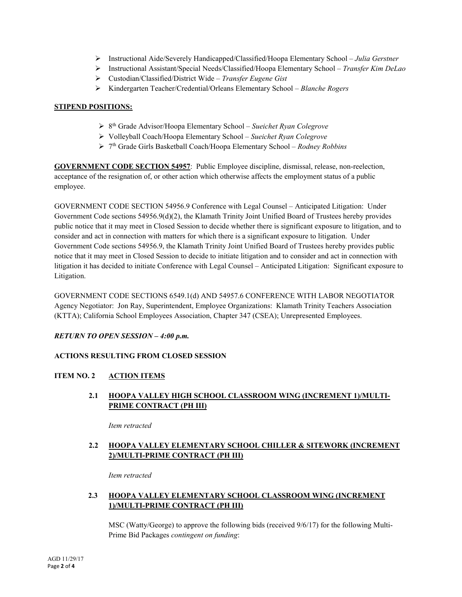- Instructional Aide/Severely Handicapped/Classified/Hoopa Elementary School *Julia Gerstner*
- Instructional Assistant/Special Needs/Classified/Hoopa Elementary School *Transfer Kim DeLao*
- Custodian/Classified/District Wide *Transfer Eugene Gist*
- Kindergarten Teacher/Credential/Orleans Elementary School *Blanche Rogers*

#### **STIPEND POSITIONS:**

- 8th Grade Advisor/Hoopa Elementary School *Sueichet Ryan Colegrove*
- Volleyball Coach/Hoopa Elementary School *Sueichet Ryan Colegrove*
- 7th Grade Girls Basketball Coach/Hoopa Elementary School *Rodney Robbins*

**GOVERNMENT CODE SECTION 54957**: Public Employee discipline, dismissal, release, non-reelection, acceptance of the resignation of, or other action which otherwise affects the employment status of a public employee.

GOVERNMENT CODE SECTION 54956.9 Conference with Legal Counsel – Anticipated Litigation: Under Government Code sections 54956.9(d)(2), the Klamath Trinity Joint Unified Board of Trustees hereby provides public notice that it may meet in Closed Session to decide whether there is significant exposure to litigation, and to consider and act in connection with matters for which there is a significant exposure to litigation. Under Government Code sections 54956.9, the Klamath Trinity Joint Unified Board of Trustees hereby provides public notice that it may meet in Closed Session to decide to initiate litigation and to consider and act in connection with litigation it has decided to initiate Conference with Legal Counsel – Anticipated Litigation: Significant exposure to Litigation.

GOVERNMENT CODE SECTIONS 6549.1(d) AND 54957.6 CONFERENCE WITH LABOR NEGOTIATOR Agency Negotiator: Jon Ray, Superintendent, Employee Organizations: Klamath Trinity Teachers Association (KTTA); California School Employees Association, Chapter 347 (CSEA); Unrepresented Employees.

#### *RETURN TO OPEN SESSION – 4:00 p.m.*

#### **ACTIONS RESULTING FROM CLOSED SESSION**

#### **ITEM NO. 2 ACTION ITEMS**

# **2.1 HOOPA VALLEY HIGH SCHOOL CLASSROOM WING (INCREMENT 1)/MULTI-PRIME CONTRACT (PH III)**

*Item retracted* 

#### **2.2 HOOPA VALLEY ELEMENTARY SCHOOL CHILLER & SITEWORK (INCREMENT 2)/MULTI-PRIME CONTRACT (PH III)**

*Item retracted* 

# **2.3 HOOPA VALLEY ELEMENTARY SCHOOL CLASSROOM WING (INCREMENT 1)/MULTI-PRIME CONTRACT (PH III)**

MSC (Watty/George) to approve the following bids (received 9/6/17) for the following Multi-Prime Bid Packages *contingent on funding*: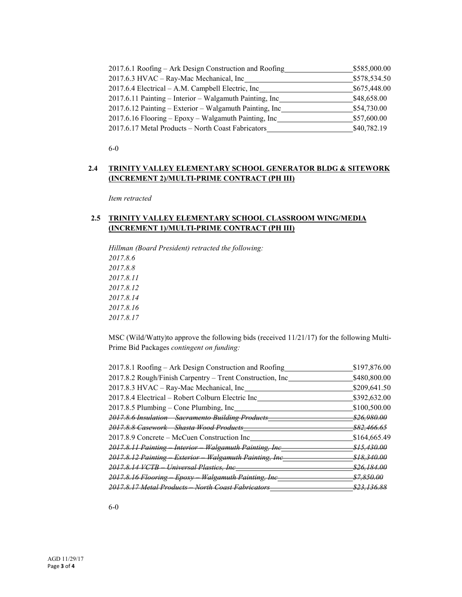| 2017.6.1 Roofing – Ark Design Construction and Roofing  | \$585,000.00 |
|---------------------------------------------------------|--------------|
| 2017.6.3 HVAC - Ray-Mac Mechanical, Inc_                | \$578,534.50 |
| 2017.6.4 Electrical – A.M. Campbell Electric, Inc.      | \$675,448.00 |
| 2017.6.11 Painting – Interior – Walgamuth Painting, Inc | \$48,658.00  |
| 2017.6.12 Painting – Exterior – Walgamuth Painting, Inc | \$54,730.00  |
| 2017.6.16 Flooring – Epoxy – Walgamuth Painting, Inc    | \$57,600.00  |
| 2017.6.17 Metal Products - North Coast Fabricators      | \$40,782.19  |

6-0

# **2.4 TRINITY VALLEY ELEMENTARY SCHOOL GENERATOR BLDG & SITEWORK (INCREMENT 2)/MULTI-PRIME CONTRACT (PH III)**

*Item retracted*

#### **2.5 TRINITY VALLEY ELEMENTARY SCHOOL CLASSROOM WING/MEDIA (INCREMENT 1)/MULTI-PRIME CONTRACT (PH III)**

*Hillman (Board President) retracted the following: 2017.8.6 2017.8.8 2017.8.11 2017.8.12 2017.8.14 2017.8.16 2017.8.17*

MSC (Wild/Watty)to approve the following bids (received 11/21/17) for the following Multi-Prime Bid Packages *contingent on funding:*

| 2017.8.1 Roofing – Ark Design Construction and Roofing    | \$197,876.00       |
|-----------------------------------------------------------|--------------------|
| 2017.8.2 Rough/Finish Carpentry - Trent Construction, Inc | \$480,800.00       |
| 2017.8.3 HVAC – Ray-Mac Mechanical, Inc                   | \$209,641.50       |
| 2017.8.4 Electrical - Robert Colburn Electric Inc         | \$392,632.00       |
| 2017.8.5 Plumbing – Cone Plumbing, Inc                    | \$100,500.00       |
| 2017.8.6 Insulation Sacramento Building Products          | <u>\$26,980.00</u> |
| 2017.8.8 Casework Shasta Wood Products                    | <u>\$82.466.65</u> |
| 2017.8.9 Concrete – McCuen Construction Inc               | \$164,665.49       |
| 2017.8.11 Painting Interior Walgamuth Painting, Inc       | <u>\$15.430.00</u> |
| 2017.8.12 Painting Exterior Walgamuth Painting, Inc       | <u>\$18.340.00</u> |
| 2017.8.14 VCTB – Universal Plastics, Inc-                 | <u>\$26.184.00</u> |
| 2017.8.16 Flooring Epoxy Walgamuth Painting, Inc          | <u>\$7.850.00</u>  |
| 2017.8.17 Metal Products North Coast Fabricators          | <u>\$23.136.88</u> |